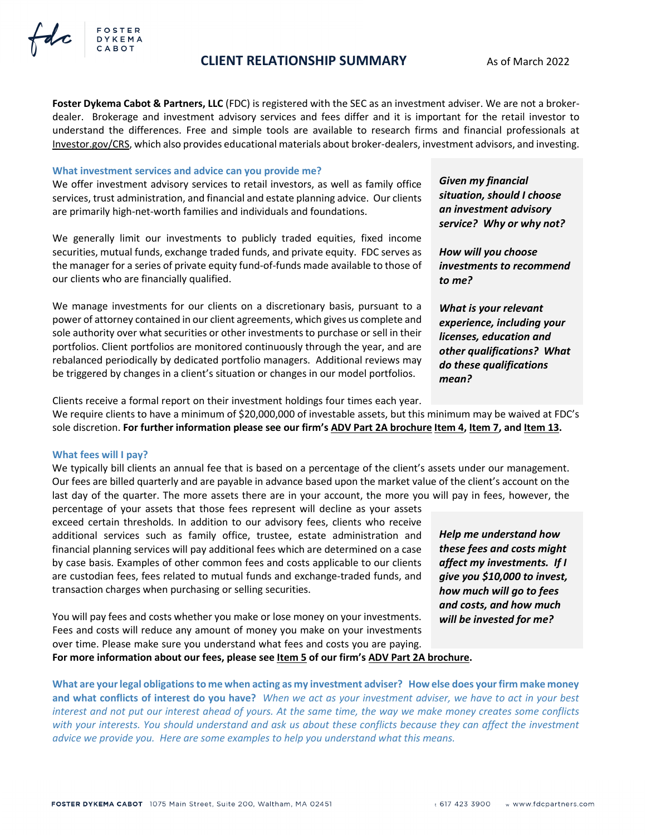## FOSTER **DYKEMA** CABOT

## **CLIENT RELATIONSHIP SUMMARY** As of March 2022

**Foster Dykema Cabot & Partners, LLC** (FDC) is registered with the SEC as an investment adviser. We are not a brokerdealer. Brokerage and investment advisory services and fees differ and it is important for the retail investor to understand the differences. Free and simple tools are available to research firms and financial professionals at [Investor.gov/CRS,](https://investor.gov/CRS) which also provides educational materials about broker-dealers, investment advisors, and investing.

### **What investment services and advice can you provide me?**

We offer investment advisory services to retail investors, as well as family office services, trust administration, and financial and estate planning advice. Our clients are primarily high-net-worth families and individuals and foundations.

We generally limit our investments to publicly traded equities, fixed income securities, mutual funds, exchange traded funds, and private equity. FDC serves as the manager for a series of private equity fund-of-funds made available to those of our clients who are financially qualified.

We manage investments for our clients on a discretionary basis, pursuant to a power of attorney contained in our client agreements, which gives us complete and sole authority over what securities or other investments to purchase or sell in their portfolios. Client portfolios are monitored continuously through the year, and are rebalanced periodically by dedicated portfolio managers. Additional reviews may be triggered by changes in a client's situation or changes in our model portfolios.

*Given my financial situation, should I choose an investment advisory service? Why or why not?* 

*How will you choose investments to recommend to me?* 

*What is your relevant experience, including your licenses, education and other qualifications? What do these qualifications mean?*

Clients receive a formal report on their investment holdings four times each year.

We require clients to have a minimum of \$20,000,000 of investable assets, but this minimum may be waived at FDC's sole discretion. **For further information please see our firm's [ADV Part 2A brochure](https://files.adviserinfo.sec.gov/IAPD/Content/Common/crd_iapd_Brochure.aspx?BRCHR_VRSN_ID=769454) [Item 4,](https://files.adviserinfo.sec.gov/IAPD/Content/Common/crd_iapd_Brochure.aspx?BRCHR_VRSN_ID=769454&#page=4) [Item 7,](https://files.adviserinfo.sec.gov/IAPD/Content/Common/crd_iapd_Brochure.aspx?BRCHR_VRSN_ID=769454&#page=7) and [Item 13](https://files.adviserinfo.sec.gov/IAPD/Content/Common/crd_iapd_Brochure.aspx?BRCHR_VRSN_ID=769454&#page=16).**

### **What fees will I pay?**

We typically bill clients an annual fee that is based on a percentage of the client's assets under our management. Our fees are billed quarterly and are payable in advance based upon the market value of the client's account on the last day of the quarter. The more assets there are in your account, the more you will pay in fees, however, the

percentage of your assets that those fees represent will decline as your assets exceed certain thresholds. In addition to our advisory fees, clients who receive additional services such as family office, trustee, estate administration and financial planning services will pay additional fees which are determined on a case by case basis. Examples of other common fees and costs applicable to our clients are custodian fees, fees related to mutual funds and exchange-traded funds, and transaction charges when purchasing or selling securities.

You will pay fees and costs whether you make or lose money on your investments. Fees and costs will reduce any amount of money you make on your investments over time. Please make sure you understand what fees and costs you are paying. **For more information about our fees, please see [Item 5](https://files.adviserinfo.sec.gov/IAPD/Content/Common/crd_iapd_Brochure.aspx?BRCHR_VRSN_ID=769454&#page=5) of our firm's [ADV Part 2A brochure](https://files.adviserinfo.sec.gov/IAPD/Content/Common/crd_iapd_Brochure.aspx?BRCHR_VRSN_ID=769454).** 

**What are your legal obligations to me when acting as my investment adviser? How else does your firm make money and what conflicts of interest do you have?** *When we act as your investment adviser, we have to act in your best interest and not put our interest ahead of yours. At the same time, the way we make money creates some conflicts with your interests. You should understand and ask us about these conflicts because they can affect the investment advice we provide you. Here are some examples to help you understand what this means.* 

*Help me understand how these fees and costs might affect my investments. If I give you \$10,000 to invest, how much will go to fees and costs, and how much will be invested for me?*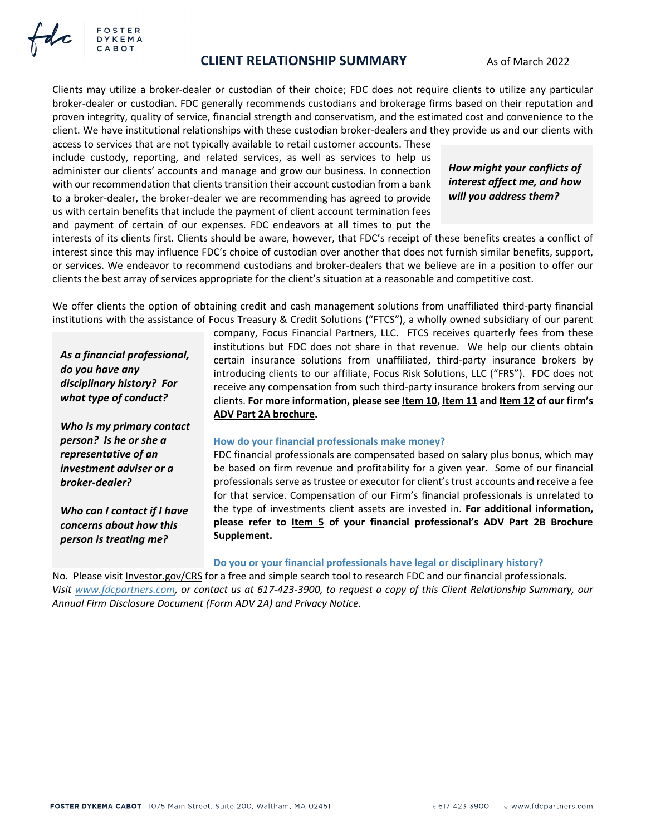

Clients may utilize a broker-dealer or custodian of their choice; FDC does not require clients to utilize any particular broker-dealer or custodian. FDC generally recommends custodians and brokerage firms based on their reputation and proven integrity, quality of service, financial strength and conservatism, and the estimated cost and convenience to the client. We have institutional relationships with these custodian broker-dealers and they provide us and our clients with

access to services that are not typically available to retail customer accounts. These include custody, reporting, and related services, as well as services to help us administer our clients' accounts and manage and grow our business. In connection with our recommendation that clients transition their account custodian from a bank to a broker-dealer, the broker-dealer we are recommending has agreed to provide us with certain benefits that include the payment of client account termination fees and payment of certain of our expenses. FDC endeavors at all times to put the

## *How might your conflicts of interest affect me, and how will you address them?*

interests of its clients first. Clients should be aware, however, that FDC's receipt of these benefits creates a conflict of interest since this may influence FDC's choice of custodian over another that does not furnish similar benefits, support, or services. We endeavor to recommend custodians and broker-dealers that we believe are in a position to offer our clients the best array of services appropriate for the client's situation at a reasonable and competitive cost.

We offer clients the option of obtaining credit and cash management solutions from unaffiliated third-party financial institutions with the assistance of Focus Treasury & Credit Solutions ("FTCS"), a wholly owned subsidiary of our parent

*As a financial professional, do you have any disciplinary history? For what type of conduct?* 

FOSTER **DYKEMA** CABOT

*Who is my primary contact person? Is he or she a representative of an investment adviser or a broker-dealer?* 

*Who can I contact if I have concerns about how this person is treating me?*

company, Focus Financial Partners, LLC. FTCS receives quarterly fees from these institutions but FDC does not share in that revenue. We help our clients obtain certain insurance solutions from unaffiliated, third-party insurance brokers by introducing clients to our affiliate, Focus Risk Solutions, LLC ("FRS"). FDC does not receive any compensation from such third-party insurance brokers from serving our clients. **For more information, please see [Item 10,](https://files.adviserinfo.sec.gov/IAPD/Content/Common/crd_iapd_Brochure.aspx?BRCHR_VRSN_ID=769454&#page=10) [Item 11](https://files.adviserinfo.sec.gov/IAPD/Content/Common/crd_iapd_Brochure.aspx?BRCHR_VRSN_ID=769454&#page=13) and [Item 12](https://files.adviserinfo.sec.gov/IAPD/Content/Common/crd_iapd_Brochure.aspx?BRCHR_VRSN_ID=769454&#page=14) of our firm's [ADV Part 2A brochure.](https://files.adviserinfo.sec.gov/IAPD/Content/Common/crd_iapd_Brochure.aspx?BRCHR_VRSN_ID=769454)** 

#### **How do your financial professionals make money?**

FDC financial professionals are compensated based on salary plus bonus, which may be based on firm revenue and profitability for a given year. Some of our financial professionals serve as trustee or executor for client's trust accounts and receive a fee for that service. Compensation of our Firm's financial professionals is unrelated to the type of investments client assets are invested in. **For additional information, please refer to Item 5 of your financial professional's ADV Part 2B Brochure Supplement.**

#### **Do you or your financial professionals have legal or disciplinary history?**

No. Please visit [Investor.gov/CRS](https://investor.gov/CRS) for a free and simple search tool to research FDC and our financial professionals. *Visit [www.fdcpartners.com,](https://fdcpartners.com/) or contact us at 617-423-3900, to request a copy of this Client Relationship Summary, our Annual Firm Disclosure Document (Form ADV 2A) and Privacy Notice.*